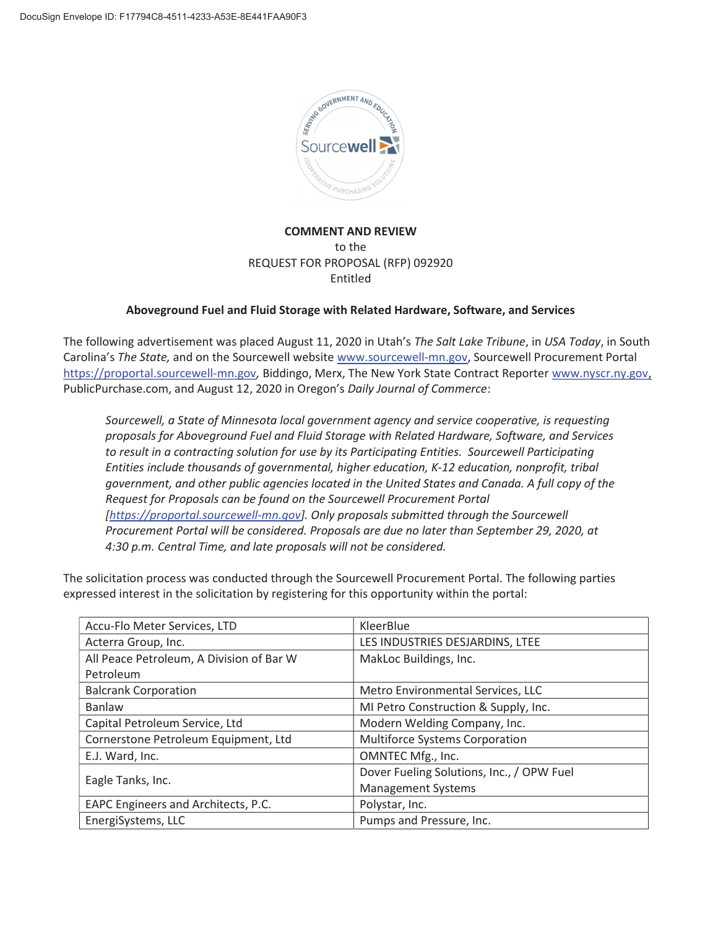

# COMMENT AND REVIEW to the REQUEST FOR PROPOSAL (RFP) 092920 Entitled

## Aboveground Fuel and Fluid Storage with Related Hardware, Software, and Services

The following advertisement was placed August 11, 2020 in Utah's *The Salt Lake Tribune*, in *USA Today*, in South Carolina's *The State,* and on the Sourcewell website www.sourcewell-mn.gov, Sourcewell Procurement Portal https://proportal.sourcewell-mn.gov*,* Biddingo, Merx, The New York State Contract Reporter www.nyscr.ny.gov, PublicPurchase.com, and August 12, 2020 in Oregon's *Daily Journal of Commerce*:

*Sourcewell, a State of Minnesota local government agency and service cooperative, is requesting proposals for Aboveground Fuel and Fluid Storage with Related Hardware, Software, and Services to result in a contracting solution for use by its Participating Entities. Sourcewell Participating Entities include thousands of governmental, higher education, K-12 education, nonprofit, tribal government, and other public agencies located in the United States and Canada. A full copy of the Request for Proposals can be found on the Sourcewell Procurement Portal [https://proportal.sourcewell-mn.gov]. Only proposals submitted through the Sourcewell Procurement Portal will be considered. Proposals are due no later than September 29, 2020, at 4:30 p.m. Central Time, and late proposals will not be considered.* 

The solicitation process was conducted through the Sourcewell Procurement Portal. The following parties expressed interest in the solicitation by registering for this opportunity within the portal:

| Accu-Flo Meter Services, LTD             | KleerBlue                                 |  |
|------------------------------------------|-------------------------------------------|--|
| Acterra Group, Inc.                      | LES INDUSTRIES DESJARDINS, LTEE           |  |
| All Peace Petroleum, A Division of Bar W | MakLoc Buildings, Inc.                    |  |
| Petroleum                                |                                           |  |
| <b>Balcrank Corporation</b>              | Metro Environmental Services, LLC         |  |
| Banlaw                                   | MI Petro Construction & Supply, Inc.      |  |
| Capital Petroleum Service, Ltd           | Modern Welding Company, Inc.              |  |
| Cornerstone Petroleum Equipment, Ltd     | <b>Multiforce Systems Corporation</b>     |  |
| E.J. Ward, Inc.                          | OMNTEC Mfg., Inc.                         |  |
| Eagle Tanks, Inc.                        | Dover Fueling Solutions, Inc., / OPW Fuel |  |
|                                          | <b>Management Systems</b>                 |  |
| EAPC Engineers and Architects, P.C.      | Polystar, Inc.                            |  |
| EnergiSystems, LLC                       | Pumps and Pressure, Inc.                  |  |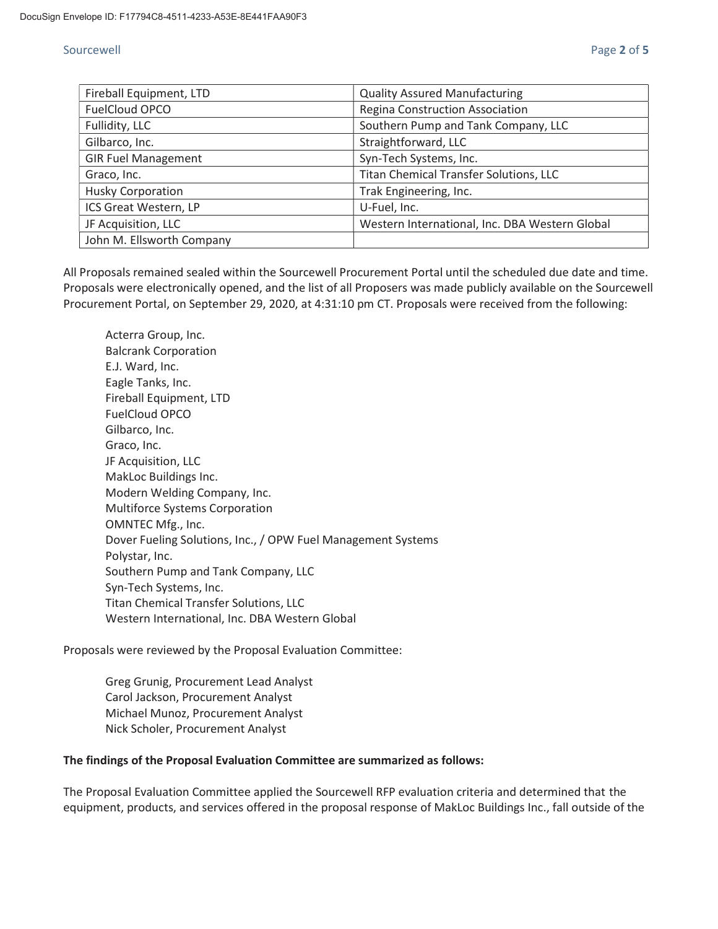## Sourcewell **Exercise 2 of 5** Sourcewell **Page 2 of 5**

| Fireball Equipment, LTD    | <b>Quality Assured Manufacturing</b>           |  |
|----------------------------|------------------------------------------------|--|
| FuelCloud OPCO             | Regina Construction Association                |  |
| Fullidity, LLC             | Southern Pump and Tank Company, LLC            |  |
| Gilbarco, Inc.             | Straightforward, LLC                           |  |
| <b>GIR Fuel Management</b> | Syn-Tech Systems, Inc.                         |  |
| Graco, Inc.                | Titan Chemical Transfer Solutions, LLC         |  |
| <b>Husky Corporation</b>   | Trak Engineering, Inc.                         |  |
| ICS Great Western, LP      | U-Fuel, Inc.                                   |  |
| JF Acquisition, LLC        | Western International, Inc. DBA Western Global |  |
| John M. Ellsworth Company  |                                                |  |

All Proposals remained sealed within the Sourcewell Procurement Portal until the scheduled due date and time. Proposals were electronically opened, and the list of all Proposers was made publicly available on the Sourcewell Procurement Portal, on September 29, 2020, at 4:31:10 pm CT. Proposals were received from the following:

Acterra Group, Inc. Balcrank Corporation E.J. Ward, Inc. Eagle Tanks, Inc. Fireball Equipment, LTD FuelCloud OPCO Gilbarco, Inc. Graco, Inc. JF Acquisition, LLC MakLoc Buildings Inc. Modern Welding Company, Inc. Multiforce Systems Corporation OMNTEC Mfg., Inc. Dover Fueling Solutions, Inc., / OPW Fuel Management Systems Polystar, Inc. Southern Pump and Tank Company, LLC Syn-Tech Systems, Inc. Titan Chemical Transfer Solutions, LLC Western International, Inc. DBA Western Global

Proposals were reviewed by the Proposal Evaluation Committee:

Greg Grunig, Procurement Lead Analyst Carol Jackson, Procurement Analyst Michael Munoz, Procurement Analyst Nick Scholer, Procurement Analyst

### The findings of the Proposal Evaluation Committee are summarized as follows:

The Proposal Evaluation Committee applied the Sourcewell RFP evaluation criteria and determined that the equipment, products, and services offered in the proposal response of MakLoc Buildings Inc., fall outside of the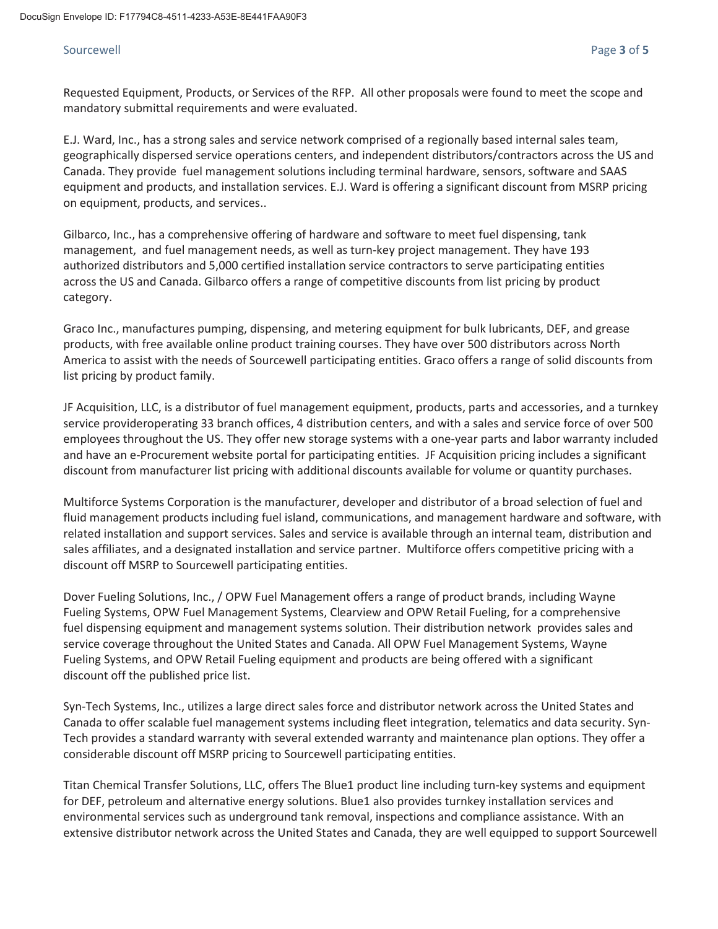## Sourcewell **Exercise 2 of 5** and 2 of 5 and 2 of 5 and 2 of 5 and 2 of 5 and 2 of 5 and 2 of 5 and 2 of 5 and 2 of 5 and 2 of 5 and 2 of 5 and 2 of 5 and 2 of 5 and 2 of 5 and 2 of 5 and 2 of 5 and 2 of 5 and 2 of 5 and 2

Requested Equipment, Products, or Services of the RFP. All other proposals were found to meet the scope and mandatory submittal requirements and were evaluated.

E.J. Ward, Inc., has a strong sales and service network comprised of a regionally based internal sales team, geographically dispersed service operations centers, and independent distributors/contractors across the US and Canada. They provide fuel management solutions including terminal hardware, sensors, software and SAAS equipment and products, and installation services. E.J. Ward is offering a significant discount from MSRP pricing on equipment, products, and services..

Gilbarco, Inc., has a comprehensive offering of hardware and software to meet fuel dispensing, tank management, and fuel management needs, as well as turn-key project management. They have 193 authorized distributors and 5,000 certified installation service contractors to serve participating entities across the US and Canada. Gilbarco offers a range of competitive discounts from list pricing by product category.

Graco Inc., manufactures pumping, dispensing, and metering equipment for bulk lubricants, DEF, and grease products, with free available online product training courses. They have over 500 distributors across North America to assist with the needs of Sourcewell participating entities. Graco offers a range of solid discounts from list pricing by product family.

JF Acquisition, LLC, is a distributor of fuel management equipment, products, parts and accessories, and a turnkey service provideroperating 33 branch offices, 4 distribution centers, and with a sales and service force of over 500 employees throughout the US. They offer new storage systems with a one-year parts and labor warranty included and have an e-Procurement website portal for participating entities. JF Acquisition pricing includes a significant discount from manufacturer list pricing with additional discounts available for volume or quantity purchases.

Multiforce Systems Corporation is the manufacturer, developer and distributor of a broad selection of fuel and fluid management products including fuel island, communications, and management hardware and software, with related installation and support services. Sales and service is available through an internal team, distribution and sales affiliates, and a designated installation and service partner. Multiforce offers competitive pricing with a discount off MSRP to Sourcewell participating entities.

Dover Fueling Solutions, Inc., / OPW Fuel Management offers a range of product brands, including Wayne Fueling Systems, OPW Fuel Management Systems, Clearview and OPW Retail Fueling, for a comprehensive fuel dispensing equipment and management systems solution. Their distribution network provides sales and service coverage throughout the United States and Canada. All OPW Fuel Management Systems, Wayne Fueling Systems, and OPW Retail Fueling equipment and products are being offered with a significant discount off the published price list.

Syn-Tech Systems, Inc., utilizes a large direct sales force and distributor network across the United States and Canada to offer scalable fuel management systems including fleet integration, telematics and data security. Syn-Tech provides a standard warranty with several extended warranty and maintenance plan options. They offer a considerable discount off MSRP pricing to Sourcewell participating entities.

Titan Chemical Transfer Solutions, LLC, offers The Blue1 product line including turn-key systems and equipment for DEF, petroleum and alternative energy solutions. Blue1 also provides turnkey installation services and environmental services such as underground tank removal, inspections and compliance assistance. With an extensive distributor network across the United States and Canada, they are well equipped to support Sourcewell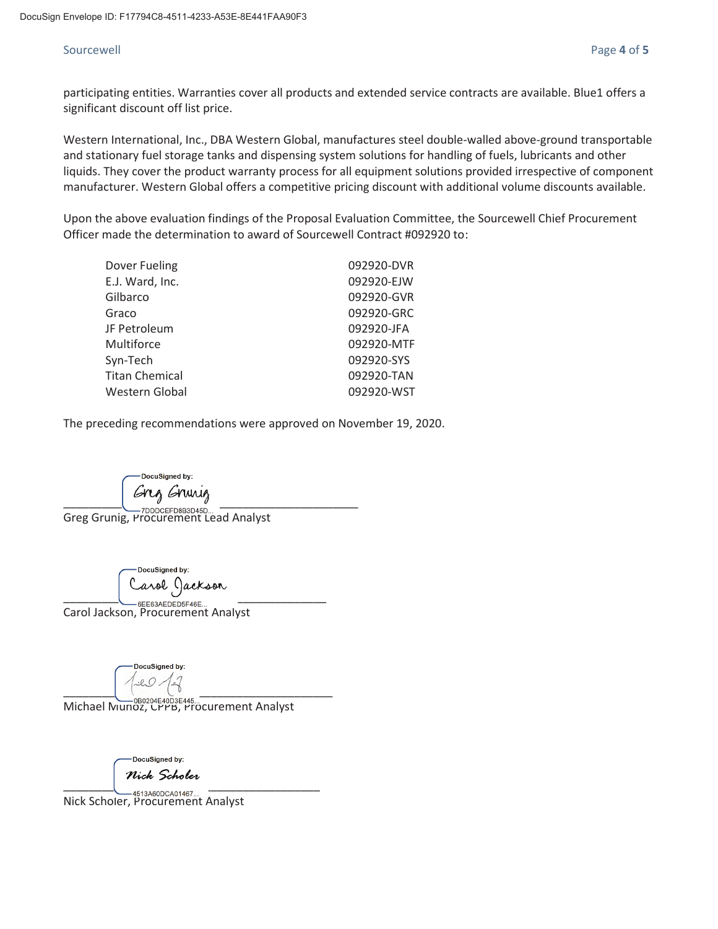## Sourcewell **Exercise 2** of 5

participating entities. Warranties cover all products and extended service contracts are available. Blue1 offers a significant discount off list price.

Western International, Inc., DBA Western Global, manufactures steel double-walled above-ground transportable and stationary fuel storage tanks and dispensing system solutions for handling of fuels, lubricants and other liquids. They cover the product warranty process for all equipment solutions provided irrespective of component manufacturer. Western Global offers a competitive pricing discount with additional volume discounts available.

Upon the above evaluation findings of the Proposal Evaluation Committee, the Sourcewell Chief Procurement Officer made the determination to award of Sourcewell Contract #092920 to:

| Dover Fueling   | 092920-DVR |
|-----------------|------------|
| E.J. Ward, Inc. | 092920-EJW |
| Gilbarco        | 092920-GVR |
| Graco           | 092920-GRC |
| JF Petroleum    | 092920-JFA |
| Multiforce      | 092920-MTF |
| Syn-Tech        | 092920-SYS |
| Titan Chemical  | 092920-TAN |
| Western Global  | 092920-WST |
|                 |            |

The preceding recommendations were approved on November 19, 2020.

cuSigned by  $\overline{\phantom{a}}$ 

Greg Grunig, Procurement Lead Analyst

OocuSigned by: Carol Jackson

Carol Jackson, Procurement Analyst

p<mark>cuSigned b</mark>y \_\_\_\_\_\_\_\_\_\_\_\_\_\_\_\_\_\_\_\_\_\_\_\_\_\_\_\_\_\_\_\_\_\_\_\_\_\_\_\_\_\_

Michael Munoz, CPPB, Procurement Analyst

DocuSigned by:

**Nick Scholer**<br>—4513A60DCA01467…

Nick Scholer, Procurement Analyst